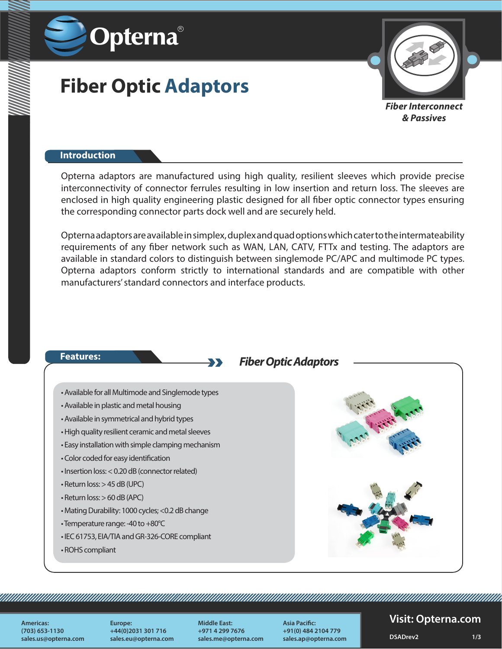

# **Fiber Optic Adaptors**



*Fiber Interconnect & Passives*

#### **Introduction**

Opterna adaptors are manufactured using high quality, resilient sleeves which provide precise interconnectivity of connector ferrules resulting in low insertion and return loss. The sleeves are enclosed in high quality engineering plastic designed for all fiber optic connector types ensuring the corresponding connector parts dock well and are securely held.

Opterna adaptors are available in simplex, duplex and quad options which cater to the intermateability requirements of any fiber network such as WAN, LAN, CATV, FTTx and testing. The adaptors are available in standard colors to distinguish between singlemode PC/APC and multimode PC types. Opterna adaptors conform strictly to international standards and are compatible with other manufacturers' standard connectors and interface products.



**Americas: (703) 653-1130 sales.us@opterna.com**

**Europe: +44(0)2031 301 716 sales.eu@opterna.com** **Middle East: +971 4 299 7676 sales.me@opterna.com**

<u>Tarafarahasi yang berakhir pada tahun 1999 dan pada tahun 1999 dan pada tahun 1999 dan pada tahun 1999 dan pa</u>

**Asia Pacific: +91(0) 484 2104 779 sales.ap@opterna.com**

#### **Visit: Opterna.com**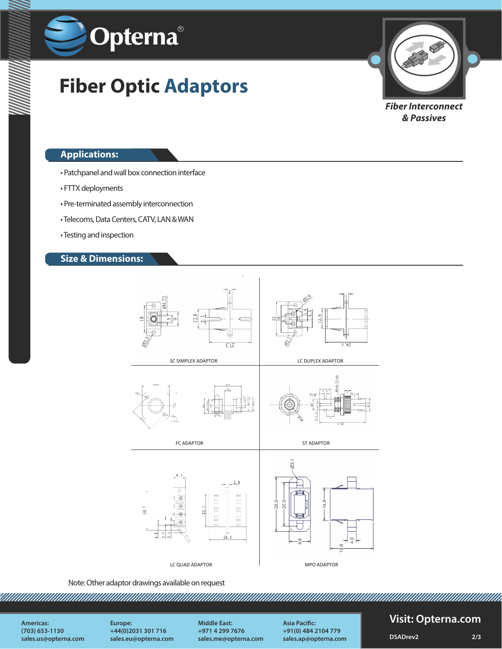

# **Fiber Optic Adaptors**



*Fiber Interconnect & Passives*

#### **Applications:**

- Patchpanel and wall box connection interface
- FTTX deployments
- Pre-terminated assembly interconnection
- Telecoms, Data Centers, CATV, LAN & WAN
- Testing and inspection

### **Size & Dimensions:**



Note: Other adaptor drawings available on request

**Americas: (703) 653-1130 sales.us@opterna.com**

**Europe: +44(0)2031 301 716 sales.eu@opterna.com** **Middle East: +971 4 299 7676 sales.me@opterna.com**

**Asia Pacific: +91(0) 484 2104 779 sales.ap@opterna.com**

### **Visit: Opterna.com**

**DSADrev2 2/3**